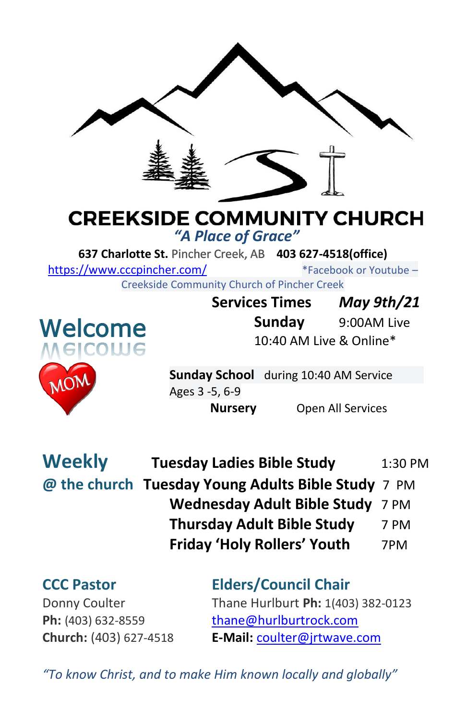

# **CREEKSIDE COMMUNITY CHURCH**

*"A Place of Grace"*

**637 Charlotte St.** Pincher Creek, AB **403 627-4518(office)** 

<https://www.cccpincher.com/>\*Facebook or Youtube – Creekside Community Church of Pincher Creek



**Services Times** *May 9th/21* **Sunday** 9:00AM Live 10:40 AM Live & Online\*

**Sunday School** during 10:40 AM Service Ages 3 -5, 6-9

**Nursery** Open All Services

| <b>Weekly</b> | <b>Tuesday Ladies Bible Study</b>                  | 1:30 PM |
|---------------|----------------------------------------------------|---------|
|               | @ the church Tuesday Young Adults Bible Study 7 PM |         |
|               | Wednesday Adult Bible Study 7 PM                   |         |
|               | <b>Thursday Adult Bible Study</b>                  | 7 PM    |
|               | <b>Friday 'Holy Rollers' Youth</b>                 | 7PM     |

## **CCC Pastor Elders/Council Chair**

Donny Coulter Thane Hurlburt **Ph:** 1(403) 382-0123 Ph: (403) 632-8559 [thane@hurlburtrock.com](mailto:thane@hurlburtrock.com) **Church:** (403) 627-4518 **E-Mail:** [coulter@jrtwave.com](mailto:coulter@jrtwave.com)

*"To know Christ, and to make Him known locally and globally"*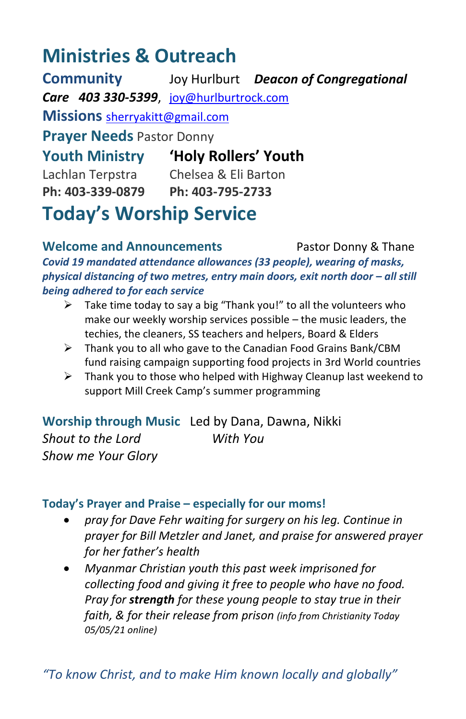## **Ministries & Outreach**

**Community** Joy Hurlburt *Deacon of Congregational Care 403 330-5399*, [joy@hurlburtrock.com](mailto:joy@hurlburtrock.com) **Missions** [sherryakitt@gmail.com](mailto:sherryakitt@gmail.com) **Prayer Needs** Pastor Donny **Youth Ministry 'Holy Rollers' Youth** Lachlan Terpstra Chelsea & Eli Barton **Ph: 403-339-0879 Ph: 403-795-2733 Today's Worship Service**

**Welcome and Announcements** Pastor Donny & Thane *Covid 19 mandated attendance allowances (33 people), wearing of masks, physical distancing of two metres, entry main doors, exit north door - all still being adhered to for each service*

- $\triangleright$  Take time today to say a big "Thank you!" to all the volunteers who make our weekly worship services possible – the music leaders, the techies, the cleaners, SS teachers and helpers, Board & Elders
- ➢ Thank you to all who gave to the Canadian Food Grains Bank/CBM fund raising campaign supporting food projects in 3rd World countries
- $\triangleright$  Thank you to those who helped with Highway Cleanup last weekend to support Mill Creek Camp's summer programming

**Worship through Music**Led by Dana, Dawna, Nikki *Shout to the Lord With You Show me Your Glory*

### **Today's Prayer and Praise – especially for our moms!**

- *pray for Dave Fehr waiting for surgery on his leg. Continue in prayer for Bill Metzler and Janet, and praise for answered prayer for her father's health*
- *Myanmar Christian youth this past week imprisoned for collecting food and giving it free to people who have no food. Pray for strength for these young people to stay true in their faith, & for their release from prison (info from Christianity Today 05/05/21 online)*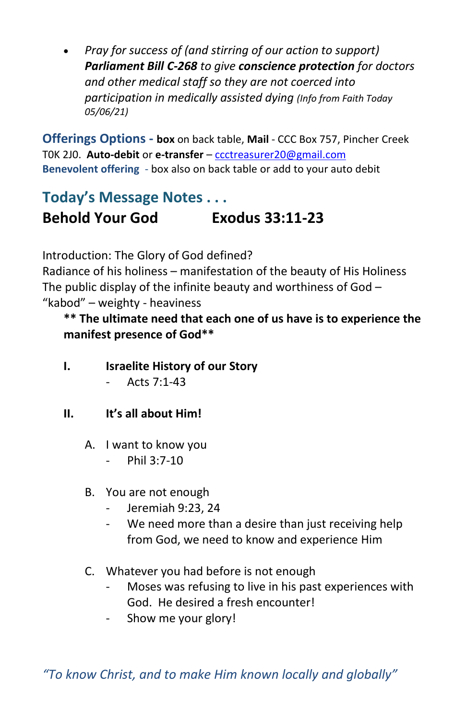• *Pray for success of (and stirring of our action to support) Parliament Bill C-268 to give conscience protection for doctors and other medical staff so they are not coerced into participation in medically assisted dying (Info from Faith Today 05/06/21)*

**Offerings Options - box** on back table, **Mail** - CCC Box 757, Pincher Creek T0K 2J0. **Auto-debit** or **e-transfer** – [ccctreasurer20@gmail.com](mailto:ccctreasurer20@gmail.com) **Benevolent offering** - box also on back table or add to your auto debit

### **Today's Message Notes . . . Behold Your God Exodus 33:11-23**

Introduction: The Glory of God defined?

Radiance of his holiness – manifestation of the beauty of His Holiness The public display of the infinite beauty and worthiness of God  $-$ "kabod" – weighty - heaviness

**\*\* The ultimate need that each one of us have is to experience the manifest presence of God\*\***

- **I. Israelite History of our Story**
	- Acts 7:1-43
- **II. It's all about Him!**
	- A. I want to know you
		- Phil 3:7-10
	- B. You are not enough
		- Jeremiah 9:23, 24
		- We need more than a desire than just receiving help from God, we need to know and experience Him
	- C. Whatever you had before is not enough
		- Moses was refusing to live in his past experiences with God. He desired a fresh encounter!
		- Show me your glory!

*"To know Christ, and to make Him known locally and globally"*